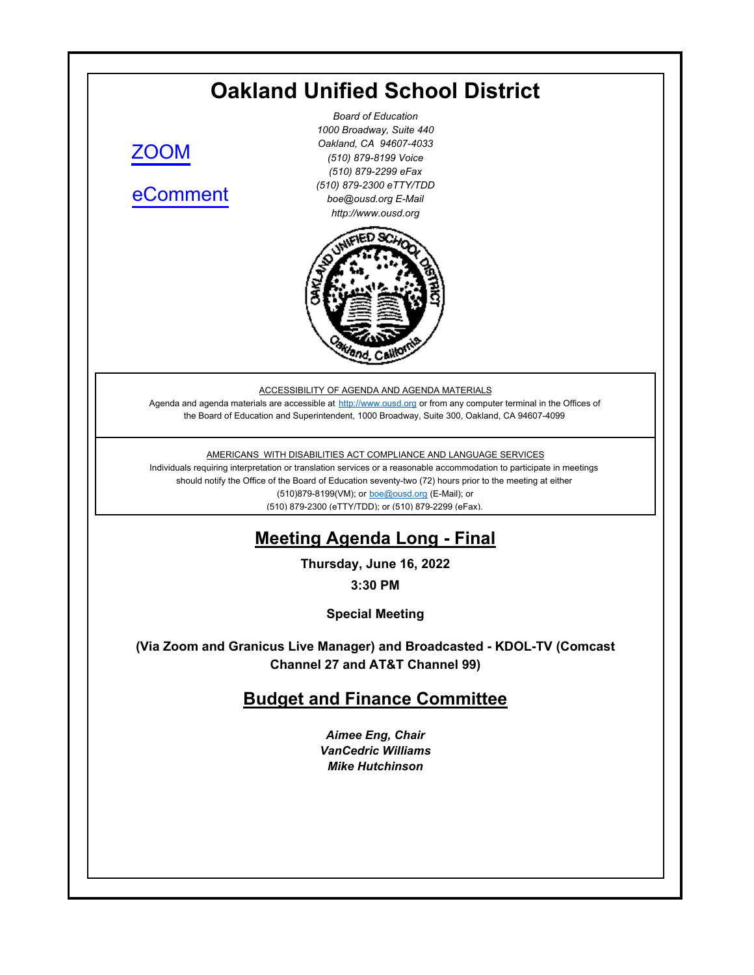# **Oakland Unified School District**

[ZOOM](https://ousd.zoom.us/j/88497796062)

[eComment](https://ousd.granicusideas.com/meetings/2350-budget-and-finance-committee-on-2022-06-16-3-30-pm-special-meeting) 

*Board of Education 1000 Broadway, Suite 440 Oakland, CA 94607-4033 (510) 879-8199 Voice (510) 879-2299 eFax (510) 879-2300 eTTY/TDD boe@ousd.org E-Mail http://www.ousd.org*



ACCESSIBILITY OF AGENDA AND AGENDA MATERIALS

Agenda and agenda materials are accessible at http://www.ousd.org or from any computer terminal in the Offices of the Board of Education and Superintendent, 1000 Broadway, Suite 300, Oakland, CA 94607-4099

AMERICANS WITH DISABILITIES ACT COMPLIANCE AND LANGUAGE SERVICES

Individuals requiring interpretation or translation services or a reasonable accommodation to participate in meetings should notify the Office of the Board of Education seventy-two (72) hours prior to the meeting at either (510)879-8199(VM); or boe@ousd.org (E-Mail); or (510) 879-2300 (eTTY/TDD); or (510) 879-2299 (eFax).

# **Meeting Agenda Long - Final**

**Thursday, June 16, 2022**

**3:30 PM**

**Special Meeting**

**(Via Zoom and Granicus Live Manager) and Broadcasted - KDOL-TV (Comcast Channel 27 and AT&T Channel 99)**

## **Budget and Finance Committee**

*Aimee Eng, Chair VanCedric Williams Mike Hutchinson*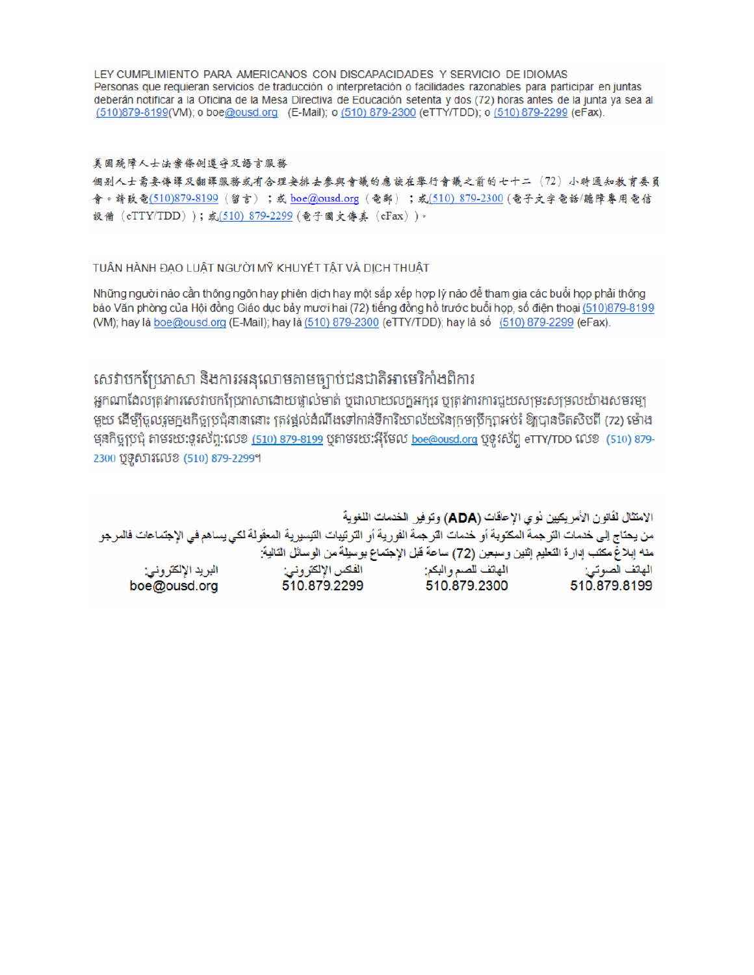LEY CUMPLIMIENTO PARA AMERICANOS CON DISCAPACIDADES Y SERVICIO DE IDIOMAS Personas que requieran servicios de traducción o interpretación o facilidades razonables para participar en juntas deberán notificar a la Oficina de la Mesa Directiva de Educación setenta y dos (72) horas antes de la junta ya sea al (510)879-8199(VM); o boe@ousd.org (E-Mail); o (510) 879-2300 (eTTY/TDD); o (510) 879-2299 (eFax).

#### 美国残障人士法案條例遵守及語言服務

個别人士需要傳譯及翻譯服務或有合理安排去參與會議的應該在舉行會議之前的七十二(72)小時通知教育委員 會。請致電(510)879-8199(留言);或 boe@ousd.org (電郵) ;或(510) 879-2300 (電子文字電話/聽障專用電信 設備 (eTTY/TDD));或(510) 879-2299 (電子圖文傳真 (eFax))。

#### TUẦN HÀNH ĐẠO LUẬT NGƯỜI MỸ KHUYẾT TẤT VÀ DỊCH THUẬT

Những người nào cần thông ngôn hay phiên dịch hay một sắp xếp hợp lý nào để tham gia các buổi họp phải thông báo Văn phòng của Hội đồng Giáo dục bảy mươi hai (72) tiếng đồng hồ trước buổi họp, số điện thoại (510)879-8199 (VM); hay là boe@ousd.org (E-Mail); hay là (510) 879-2300 (eTTY/TDD); hay là số (510) 879-2299 (eFax).

# សេវាបកប្រែភាសា និងការអនុលោមតាមច្បាប់ជនជាតិអាមេរិកាំងពិការ

អកណាដែលត្រូវការសេវាបកប្រែភាសាដោយផ្ទាល់មាត់ ឬជាលាយលក្ខអក្សរ ឬត្រូវការការជួយសម្រះសម្រលយ៉ាងសមរម្យ មួយ ដើម្បីចូលរួមក្នុងកិច្ចប្រជុំនានានោះ ត្រវង្គល់ដំណឹងទៅកាន់ទីការិយាល័យនៃក្រមប្រឹក្សាអប់រំ ឱ្យបានចិតសិបពី (72) ម៉ោង មុនកិច្ចប្រជុំ តាមរយៈទូរស័ព្ទ:លេខ <u>(510) 879-8199</u> បុតាមរយៈអ៊ីមែល <u>boe@ousd.org</u> បុទូរស័ព្ទ eTTY/TDD លេខ (510) 879-2300 ប៊ូទូសារលេខ (510) 879-2299។

الامتثال لقانون الأمريكيين نو ي الإعاقات (ADA) وتوفير الخدمات اللغوية من يحتاج إلى خدمات الترجمة المكتوبة أو خدمات الترجمة الفورية أو الترتيبات التيسيرية المعفّولة لكي يساهم في الإجتماعات فالمرجو منه إبلاغ مكتب إدارة التعليم إثنين وسبعين (72) ساعة قبل الإجتماع بوسيلة من الوسائل التالية: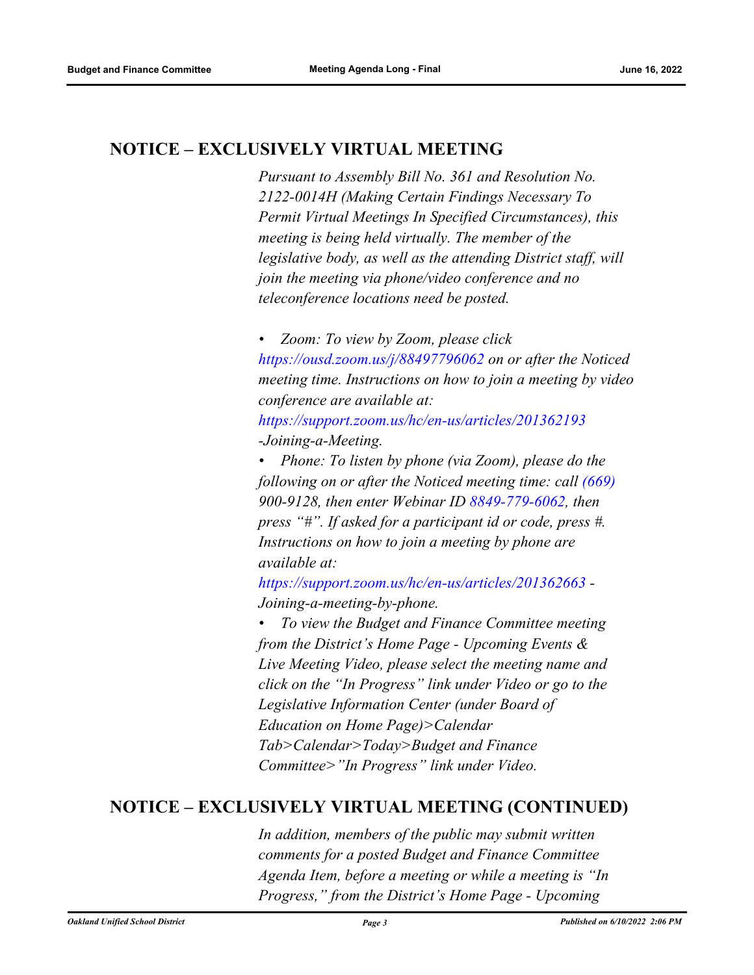# **NOTICE – EXCLUSIVELY VIRTUAL MEETING**

*Pursuant to Assembly Bill No. 361 and Resolution No. 2122-0014H (Making Certain Findings Necessary To Permit Virtual Meetings In Specified Circumstances), this meeting is being held virtually. The member of the legislative body, as well as the attending District staff, will join the meeting via phone/video conference and no teleconference locations need be posted.* 

*• Zoom: To view by Zoom, please click https://ousd.zoom.us/j/88497796062 on or after the Noticed meeting time. Instructions on how to join a meeting by video conference are available at:*

*https://support.zoom.us/hc/en-us/articles/201362193 -Joining-a-Meeting.*

*• Phone: To listen by phone (via Zoom), please do the following on or after the Noticed meeting time: call (669) 900-9128, then enter Webinar ID 8849-779-6062, then press "#". If asked for a participant id or code, press #. Instructions on how to join a meeting by phone are available at:*

*https://support.zoom.us/hc/en-us/articles/201362663 - Joining-a-meeting-by-phone.*

*• To view the Budget and Finance Committee meeting from the District's Home Page - Upcoming Events & Live Meeting Video, please select the meeting name and click on the "In Progress" link under Video or go to the Legislative Information Center (under Board of Education on Home Page)>Calendar Tab>Calendar>Today>Budget and Finance Committee>"In Progress" link under Video.*

### **NOTICE – EXCLUSIVELY VIRTUAL MEETING (CONTINUED)**

*In addition, members of the public may submit written comments for a posted Budget and Finance Committee Agenda Item, before a meeting or while a meeting is "In Progress," from the District's Home Page - Upcoming*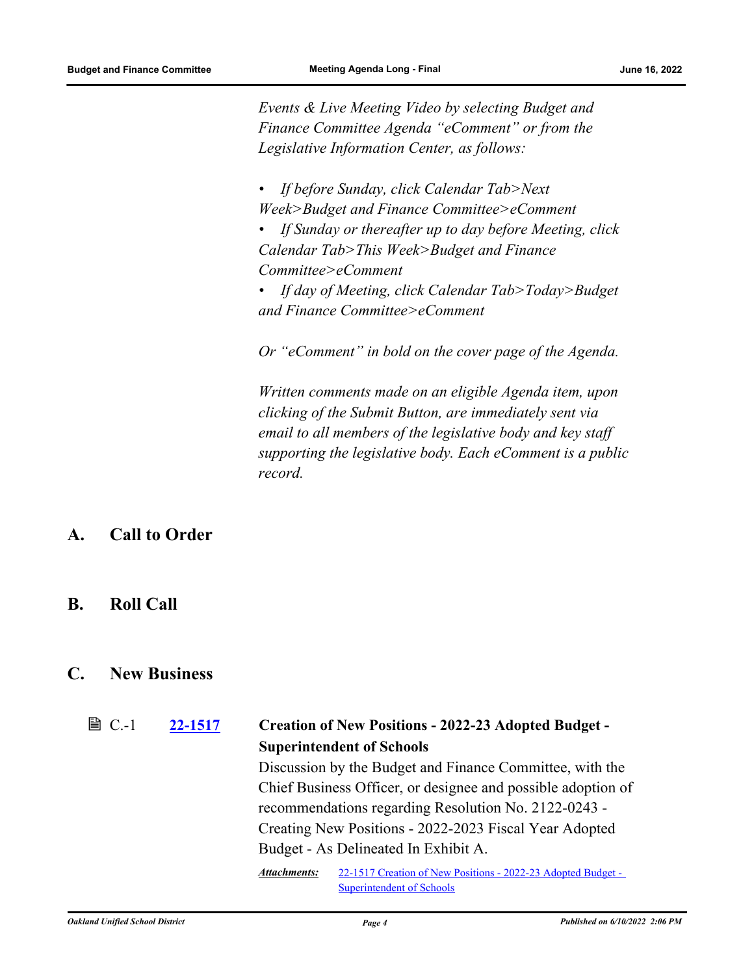*Events & Live Meeting Video by selecting Budget and Finance Committee Agenda "eComment" or from the Legislative Information Center, as follows:*

- *If before Sunday, click Calendar Tab>Next Week>Budget and Finance Committee>eComment*
- *If Sunday or thereafter up to day before Meeting, click Calendar Tab>This Week>Budget and Finance Committee>eComment*
- *If day of Meeting, click Calendar Tab>Today>Budget and Finance Committee>eComment*

*Or "eComment" in bold on the cover page of the Agenda.* 

*Written comments made on an eligible Agenda item, upon clicking of the Submit Button, are immediately sent via email to all members of the legislative body and key staff supporting the legislative body. Each eComment is a public record.*

#### **A. Call to Order**

**B. Roll Call**

#### **C. New Business**

**[22-1517](http://ousd.legistar.com/gateway.aspx?m=l&id=/matter.aspx?key=55811) Creation of New Positions - 2022-23 Adopted Budget - Superintendent of Schools**  $\mathbb{B}$  C.-1 Discussion by the Budget and Finance Committee, with the Chief Business Officer, or designee and possible adoption of recommendations regarding Resolution No. 2122-0243 - Creating New Positions - 2022-2023 Fiscal Year Adopted Budget - As Delineated In Exhibit A. [22-1517 Creation of New Positions - 2022-23 Adopted Budget -](http://ousd.legistar.com/gateway.aspx?M=F&ID=104741.pdf) Superintendent of Schools *Attachments:*